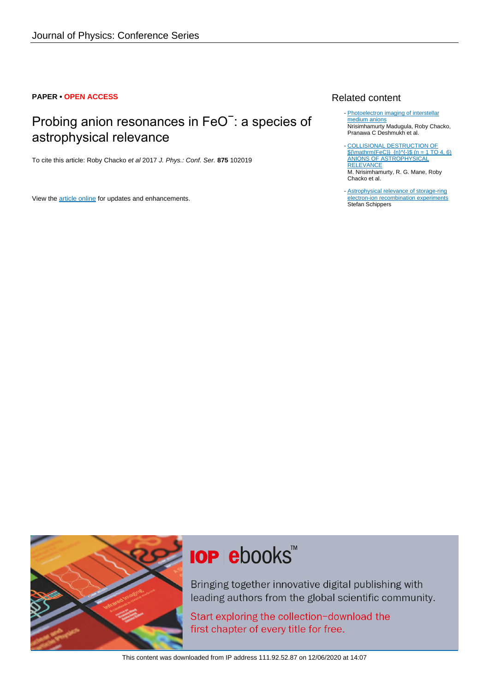### **PAPER • OPEN ACCESS**

## Probing anion resonances in FeO<sup>-</sup>: a species of astrophysical relevance

To cite this article: Roby Chacko et al 2017 J. Phys.: Conf. Ser. **875** 102019

View the [article online](https://doi.org/10.1088/1742-6596/875/11/102019) for updates and enhancements.

### Related content

- [Photoelectron imaging of interstellar](http://iopscience.iop.org/article/10.1088/1742-6596/635/11/112115) [medium anions](http://iopscience.iop.org/article/10.1088/1742-6596/635/11/112115) Nrisimhamurty Madugula, Roby Chacko, Pranawa C Deshmukh et al.
- [COLLISIONAL DESTRUCTION OF](http://iopscience.iop.org/article/10.3847/1538-4357/833/2/269)  $\{\mathrm{FeC}\}\$  {n}\-1\\$ (n = 1 TO 4, 6) [ANIONS OF ASTROPHYSICAL](http://iopscience.iop.org/article/10.3847/1538-4357/833/2/269) **[RELEVANCE](http://iopscience.iop.org/article/10.3847/1538-4357/833/2/269)** M. Nrisimhamurty, R. G. Mane, Roby Chacko et al. -
- [Astrophysical relevance of storage-ring](http://iopscience.iop.org/article/10.1088/1742-6596/163/1/012001) [electron-ion recombination experiments](http://iopscience.iop.org/article/10.1088/1742-6596/163/1/012001) Stefan Schippers



# **IOP ebooks**™

Bringing together innovative digital publishing with leading authors from the global scientific community.

Start exploring the collection-download the first chapter of every title for free.